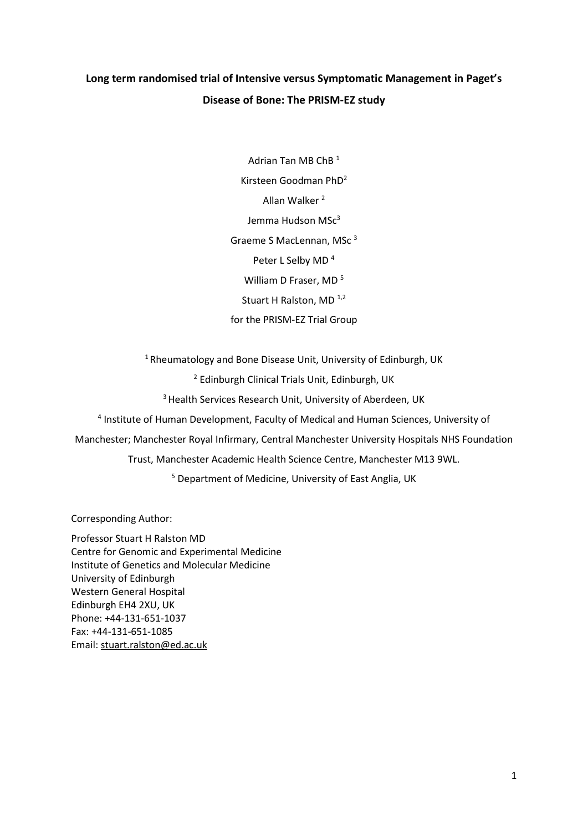# **Long term randomised trial of Intensive versus Symptomatic Management in Paget's Disease of Bone: The PRISM-EZ study**

Adrian Tan MB ChB <sup>1</sup> Kirsteen Goodman PhD<sup>2</sup> Allan Walker <sup>2</sup> Jemma Hudson MSc<sup>3</sup> Graeme S MacLennan, MSc <sup>3</sup> Peter L Selby MD<sup>4</sup> William D Fraser, MD<sup>5</sup> Stuart H Ralston, MD<sup>1,2</sup> for the PRISM-EZ Trial Group

 $1$ Rheumatology and Bone Disease Unit, University of Edinburgh, UK

<sup>2</sup> Edinburgh Clinical Trials Unit, Edinburgh, UK

<sup>3</sup> Health Services Research Unit, University of Aberdeen, UK

4 Institute of Human Development, Faculty of Medical and Human Sciences, University of

Manchester; Manchester Royal Infirmary, Central Manchester University Hospitals NHS Foundation

Trust, Manchester Academic Health Science Centre, Manchester M13 9WL.

<sup>5</sup> Department of Medicine, University of East Anglia, UK

Corresponding Author:

Professor Stuart H Ralston MD Centre for Genomic and Experimental Medicine Institute of Genetics and Molecular Medicine University of Edinburgh Western General Hospital Edinburgh EH4 2XU, UK Phone: +44-131-651-1037 Fax: +44-131-651-1085 Email: [stuart.ralston@ed.ac.uk](mailto:stuart.ralston@ed.ac.uk)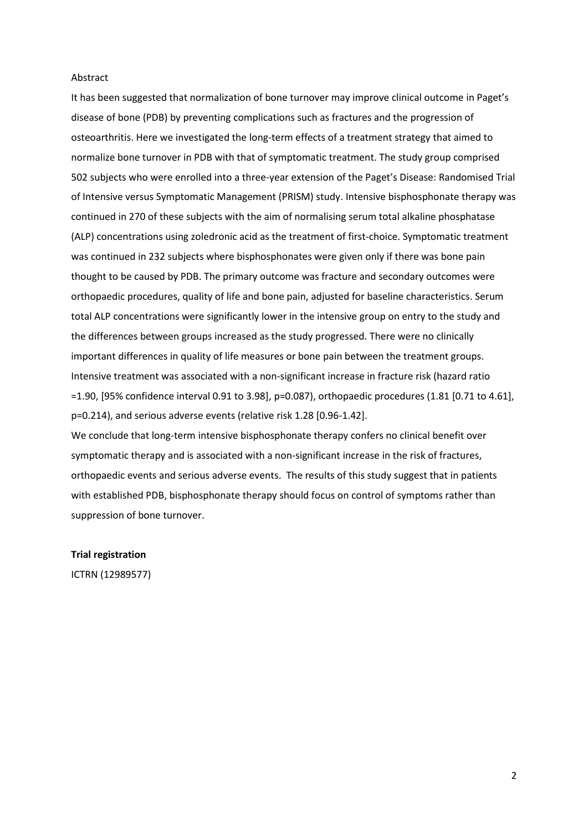## Abstract

It has been suggested that normalization of bone turnover may improve clinical outcome in Paget's disease of bone (PDB) by preventing complications such as fractures and the progression of osteoarthritis. Here we investigated the long-term effects of a treatment strategy that aimed to normalize bone turnover in PDB with that of symptomatic treatment. The study group comprised 502 subjects who were enrolled into a three-year extension of the Paget's Disease: Randomised Trial of Intensive versus Symptomatic Management (PRISM) study. Intensive bisphosphonate therapy was continued in 270 of these subjects with the aim of normalising serum total alkaline phosphatase (ALP) concentrations using zoledronic acid as the treatment of first-choice. Symptomatic treatment was continued in 232 subjects where bisphosphonates were given only if there was bone pain thought to be caused by PDB. The primary outcome was fracture and secondary outcomes were orthopaedic procedures, quality of life and bone pain, adjusted for baseline characteristics. Serum total ALP concentrations were significantly lower in the intensive group on entry to the study and the differences between groups increased as the study progressed. There were no clinically important differences in quality of life measures or bone pain between the treatment groups. Intensive treatment was associated with a non-significant increase in fracture risk (hazard ratio =1.90, [95% confidence interval 0.91 to 3.98], p=0.087), orthopaedic procedures (1.81 [0.71 to 4.61], p=0.214), and serious adverse events (relative risk 1.28 [0.96-1.42].

We conclude that long-term intensive bisphosphonate therapy confers no clinical benefit over symptomatic therapy and is associated with a non-significant increase in the risk of fractures, orthopaedic events and serious adverse events. The results of this study suggest that in patients with established PDB, bisphosphonate therapy should focus on control of symptoms rather than suppression of bone turnover.

## **Trial registration**

ICTRN (12989577)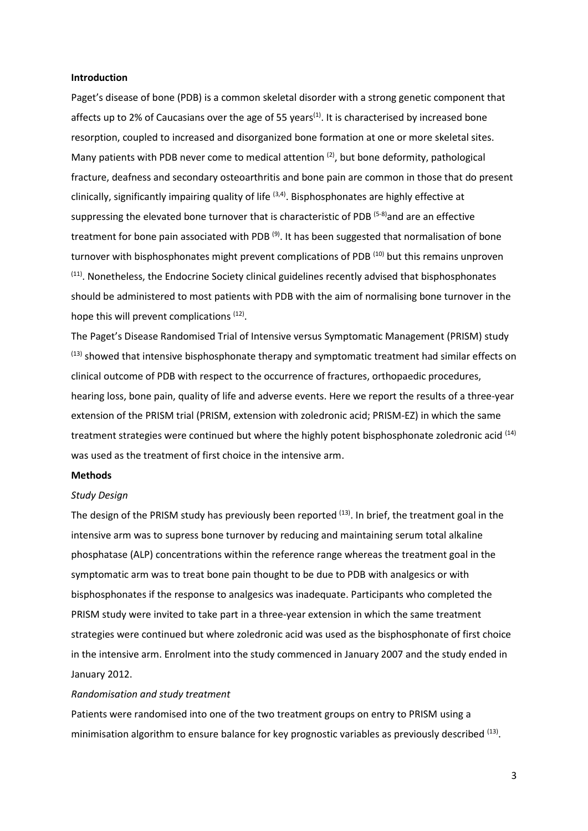#### **Introduction**

Paget's disease of bone (PDB) is a common skeletal disorder with a strong genetic component that affects up to 2% of Caucasians over the age of 55 years<sup>(1)</sup>. It is characterised by increased bone resorption, coupled to increased and disorganized bone formation at one or more skeletal sites. Many patients with PDB never come to medical attention <sup>(2)</sup>, but bone deformity, pathological fracture, deafness and secondary osteoarthritis and bone pain are common in those that do present clinically, significantly impairing quality of life <sup>(3,4)</sup>. Bisphosphonates are highly effective at suppressing the elevated bone turnover that is characteristic of PDB  $(5-8)$  and are an effective treatment for bone pain associated with PDB<sup>(9)</sup>. It has been suggested that normalisation of bone turnover with bisphosphonates might prevent complications of PDB<sup>(10)</sup> but this remains unproven  $<sup>(11)</sup>$ . Nonetheless, the Endocrine Society clinical guidelines recently advised that bisphosphonates</sup> should be administered to most patients with PDB with the aim of normalising bone turnover in the hope this will prevent complications <sup>(12)</sup>.

The Paget's Disease Randomised Trial of Intensive versus Symptomatic Management (PRISM) study  $(13)$  showed that intensive bisphosphonate therapy and symptomatic treatment had similar effects on clinical outcome of PDB with respect to the occurrence of fractures, orthopaedic procedures, hearing loss, bone pain, quality of life and adverse events. Here we report the results of a three-year extension of the PRISM trial (PRISM, extension with zoledronic acid; PRISM-EZ) in which the same treatment strategies were continued but where the highly potent bisphosphonate zoledronic acid  $(14)$ was used as the treatment of first choice in the intensive arm.

#### **Methods**

#### *Study Design*

The design of the PRISM study has previously been reported <sup>(13)</sup>. In brief, the treatment goal in the intensive arm was to supress bone turnover by reducing and maintaining serum total alkaline phosphatase (ALP) concentrations within the reference range whereas the treatment goal in the symptomatic arm was to treat bone pain thought to be due to PDB with analgesics or with bisphosphonates if the response to analgesics was inadequate. Participants who completed the PRISM study were invited to take part in a three-year extension in which the same treatment strategies were continued but where zoledronic acid was used as the bisphosphonate of first choice in the intensive arm. Enrolment into the study commenced in January 2007 and the study ended in January 2012.

#### *Randomisation and study treatment*

Patients were randomised into one of the two treatment groups on entry to PRISM using a minimisation algorithm to ensure balance for key prognostic variables as previously described <sup>(13)</sup>.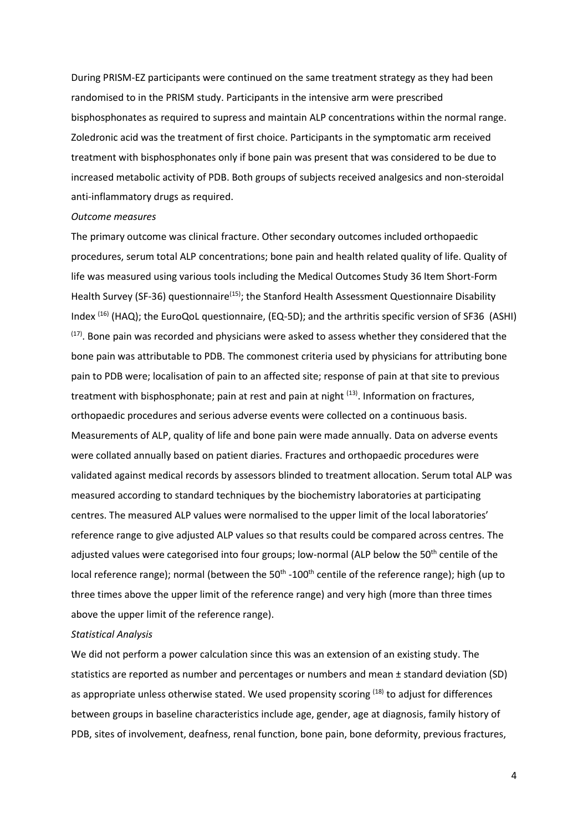During PRISM-EZ participants were continued on the same treatment strategy as they had been randomised to in the PRISM study. Participants in the intensive arm were prescribed bisphosphonates as required to supress and maintain ALP concentrations within the normal range. Zoledronic acid was the treatment of first choice. Participants in the symptomatic arm received treatment with bisphosphonates only if bone pain was present that was considered to be due to increased metabolic activity of PDB. Both groups of subjects received analgesics and non-steroidal anti-inflammatory drugs as required.

#### *Outcome measures*

The primary outcome was clinical fracture. Other secondary outcomes included orthopaedic procedures, serum total ALP concentrations; bone pain and health related quality of life. Quality of life was measured using various tools including the Medical Outcomes Study 36 Item Short-Form Health Survey (SF-36) questionnaire<sup>(15)</sup>; the Stanford Health Assessment Questionnaire Disability Index (16) (HAQ); the EuroQoL questionnaire, (EQ-5D); and the arthritis specific version of SF36 (ASHI)  $(17)$ . Bone pain was recorded and physicians were asked to assess whether they considered that the bone pain was attributable to PDB. The commonest criteria used by physicians for attributing bone pain to PDB were; localisation of pain to an affected site; response of pain at that site to previous treatment with bisphosphonate; pain at rest and pain at night <sup>(13)</sup>. Information on fractures, orthopaedic procedures and serious adverse events were collected on a continuous basis. Measurements of ALP, quality of life and bone pain were made annually. Data on adverse events were collated annually based on patient diaries. Fractures and orthopaedic procedures were validated against medical records by assessors blinded to treatment allocation. Serum total ALP was measured according to standard techniques by the biochemistry laboratories at participating centres. The measured ALP values were normalised to the upper limit of the local laboratories' reference range to give adjusted ALP values so that results could be compared across centres. The adjusted values were categorised into four groups; low-normal (ALP below the 50<sup>th</sup> centile of the local reference range); normal (between the 50<sup>th</sup> -100<sup>th</sup> centile of the reference range); high (up to three times above the upper limit of the reference range) and very high (more than three times above the upper limit of the reference range).

## *Statistical Analysis*

We did not perform a power calculation since this was an extension of an existing study. The statistics are reported as number and percentages or numbers and mean ± standard deviation (SD) as appropriate unless otherwise stated. We used propensity scoring <sup>(18)</sup> to adjust for differences between groups in baseline characteristics include age, gender, age at diagnosis, family history of PDB, sites of involvement, deafness, renal function, bone pain, bone deformity, previous fractures,

4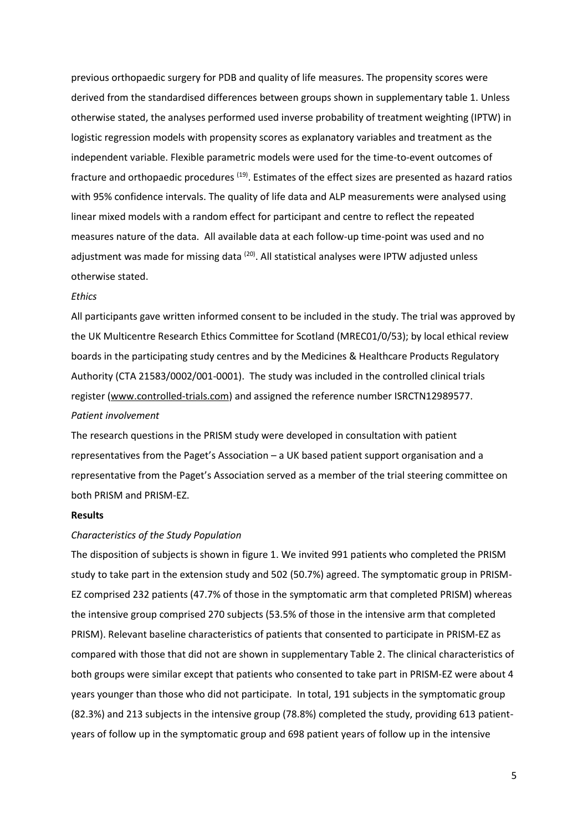previous orthopaedic surgery for PDB and quality of life measures. The propensity scores were derived from the standardised differences between groups shown in supplementary table 1. Unless otherwise stated, the analyses performed used inverse probability of treatment weighting (IPTW) in logistic regression models with propensity scores as explanatory variables and treatment as the independent variable. Flexible parametric models were used for the time-to-event outcomes of fracture and orthopaedic procedures <sup>(19)</sup>. Estimates of the effect sizes are presented as hazard ratios with 95% confidence intervals. The quality of life data and ALP measurements were analysed using linear mixed models with a random effect for participant and centre to reflect the repeated measures nature of the data. All available data at each follow-up time-point was used and no adjustment was made for missing data <sup>(20)</sup>. All statistical analyses were IPTW adjusted unless otherwise stated.

## *Ethics*

All participants gave written informed consent to be included in the study. The trial was approved by the UK Multicentre Research Ethics Committee for Scotland (MREC01/0/53); by local ethical review boards in the participating study centres and by the Medicines & Healthcare Products Regulatory Authority (CTA 21583/0002/001-0001). The study was included in the controlled clinical trials register [\(www.controlled-trials.com\)](http://www.controlled-trials.com/) and assigned the reference number ISRCTN12989577. *Patient involvement*

The research questions in the PRISM study were developed in consultation with patient representatives from the Paget's Association – a UK based patient support organisation and a representative from the Paget's Association served as a member of the trial steering committee on both PRISM and PRISM-EZ.

#### **Results**

## *Characteristics of the Study Population*

The disposition of subjects is shown in figure 1. We invited 991 patients who completed the PRISM study to take part in the extension study and 502 (50.7%) agreed. The symptomatic group in PRISM-EZ comprised 232 patients (47.7% of those in the symptomatic arm that completed PRISM) whereas the intensive group comprised 270 subjects (53.5% of those in the intensive arm that completed PRISM). Relevant baseline characteristics of patients that consented to participate in PRISM-EZ as compared with those that did not are shown in supplementary Table 2. The clinical characteristics of both groups were similar except that patients who consented to take part in PRISM-EZ were about 4 years younger than those who did not participate. In total, 191 subjects in the symptomatic group (82.3%) and 213 subjects in the intensive group (78.8%) completed the study, providing 613 patientyears of follow up in the symptomatic group and 698 patient years of follow up in the intensive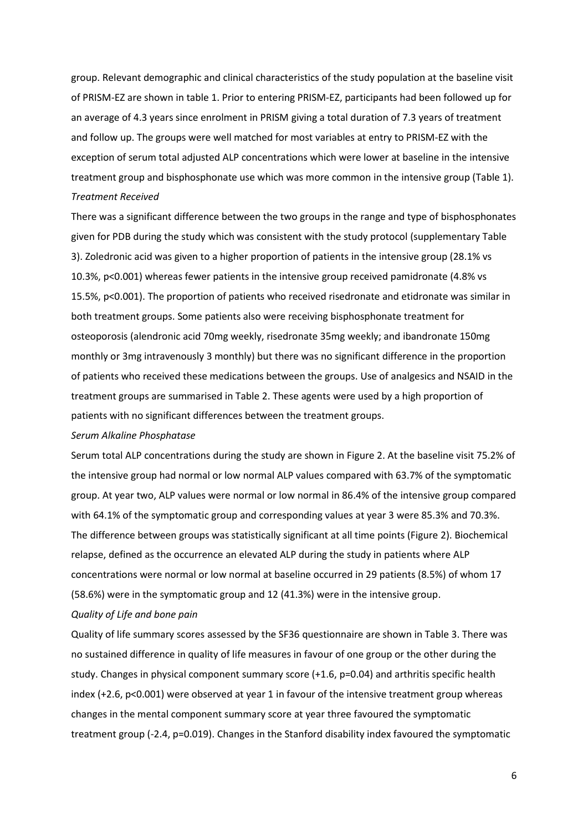group. Relevant demographic and clinical characteristics of the study population at the baseline visit of PRISM-EZ are shown in table 1. Prior to entering PRISM-EZ, participants had been followed up for an average of 4.3 years since enrolment in PRISM giving a total duration of 7.3 years of treatment and follow up. The groups were well matched for most variables at entry to PRISM-EZ with the exception of serum total adjusted ALP concentrations which were lower at baseline in the intensive treatment group and bisphosphonate use which was more common in the intensive group (Table 1). *Treatment Received*

There was a significant difference between the two groups in the range and type of bisphosphonates given for PDB during the study which was consistent with the study protocol (supplementary Table 3). Zoledronic acid was given to a higher proportion of patients in the intensive group (28.1% vs 10.3%, p<0.001) whereas fewer patients in the intensive group received pamidronate (4.8% vs 15.5%, p<0.001). The proportion of patients who received risedronate and etidronate was similar in both treatment groups. Some patients also were receiving bisphosphonate treatment for osteoporosis (alendronic acid 70mg weekly, risedronate 35mg weekly; and ibandronate 150mg monthly or 3mg intravenously 3 monthly) but there was no significant difference in the proportion of patients who received these medications between the groups. Use of analgesics and NSAID in the treatment groups are summarised in Table 2. These agents were used by a high proportion of patients with no significant differences between the treatment groups.

#### *Serum Alkaline Phosphatase*

Serum total ALP concentrations during the study are shown in Figure 2. At the baseline visit 75.2% of the intensive group had normal or low normal ALP values compared with 63.7% of the symptomatic group. At year two, ALP values were normal or low normal in 86.4% of the intensive group compared with 64.1% of the symptomatic group and corresponding values at year 3 were 85.3% and 70.3%. The difference between groups was statistically significant at all time points (Figure 2). Biochemical relapse, defined as the occurrence an elevated ALP during the study in patients where ALP concentrations were normal or low normal at baseline occurred in 29 patients (8.5%) of whom 17 (58.6%) were in the symptomatic group and 12 (41.3%) were in the intensive group.

#### *Quality of Life and bone pain*

Quality of life summary scores assessed by the SF36 questionnaire are shown in Table 3. There was no sustained difference in quality of life measures in favour of one group or the other during the study. Changes in physical component summary score (+1.6, p=0.04) and arthritis specific health index (+2.6, p<0.001) were observed at year 1 in favour of the intensive treatment group whereas changes in the mental component summary score at year three favoured the symptomatic treatment group (-2.4, p=0.019). Changes in the Stanford disability index favoured the symptomatic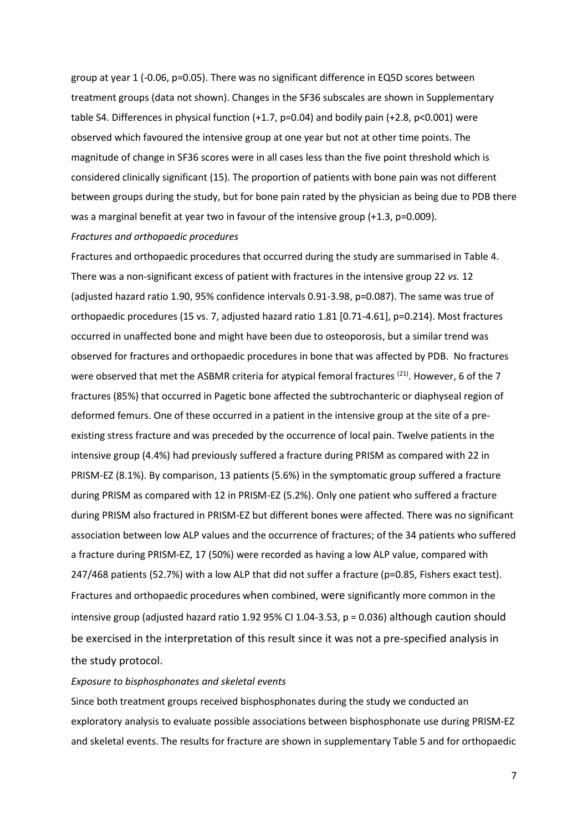group at year 1 (-0.06, p=0.05). There was no significant difference in EQ5D scores between treatment groups (data not shown). Changes in the SF36 subscales are shown in Supplementary table S4. Differences in physical function (+1.7, p=0.04) and bodily pain (+2.8, p<0.001) were observed which favoured the intensive group at one year but not at other time points. The magnitude of change in SF36 scores were in all cases less than the five point threshold which is considered clinically significant (15). The proportion of patients with bone pain was not different between groups during the study, but for bone pain rated by the physician as being due to PDB there was a marginal benefit at year two in favour of the intensive group (+1.3, p=0.009). *Fractures and orthopaedic procedures*

Fractures and orthopaedic procedures that occurred during the study are summarised in Table 4. There was a non-significant excess of patient with fractures in the intensive group 22 *vs.* 12 (adjusted hazard ratio 1.90, 95% confidence intervals 0.91-3.98, p=0.087). The same was true of orthopaedic procedures (15 vs. 7, adjusted hazard ratio 1.81 [0.71-4.61], p=0.214). Most fractures occurred in unaffected bone and might have been due to osteoporosis, but a similar trend was observed for fractures and orthopaedic procedures in bone that was affected by PDB. No fractures were observed that met the ASBMR criteria for atypical femoral fractures <sup>(21)</sup>. However, 6 of the 7 fractures (85%) that occurred in Pagetic bone affected the subtrochanteric or diaphyseal region of deformed femurs. One of these occurred in a patient in the intensive group at the site of a preexisting stress fracture and was preceded by the occurrence of local pain. Twelve patients in the intensive group (4.4%) had previously suffered a fracture during PRISM as compared with 22 in PRISM-EZ (8.1%). By comparison, 13 patients (5.6%) in the symptomatic group suffered a fracture during PRISM as compared with 12 in PRISM-EZ (5.2%). Only one patient who suffered a fracture during PRISM also fractured in PRISM-EZ but different bones were affected. There was no significant association between low ALP values and the occurrence of fractures; of the 34 patients who suffered a fracture during PRISM-EZ, 17 (50%) were recorded as having a low ALP value, compared with 247/468 patients (52.7%) with a low ALP that did not suffer a fracture (p=0.85, Fishers exact test). Fractures and orthopaedic procedures when combined, were significantly more common in the intensive group (adjusted hazard ratio 1.92 95% CI 1.04-3.53, p = 0.036) although caution should be exercised in the interpretation of this result since it was not a pre-specified analysis in the study protocol.

## *Exposure to bisphosphonates and skeletal events*

Since both treatment groups received bisphosphonates during the study we conducted an exploratory analysis to evaluate possible associations between bisphosphonate use during PRISM-EZ and skeletal events. The results for fracture are shown in supplementary Table 5 and for orthopaedic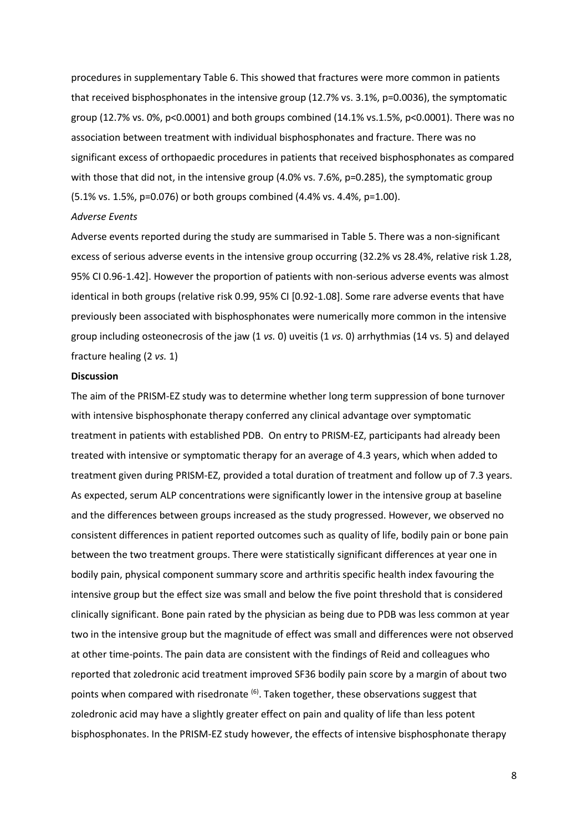procedures in supplementary Table 6. This showed that fractures were more common in patients that received bisphosphonates in the intensive group (12.7% vs. 3.1%, p=0.0036), the symptomatic group (12.7% vs. 0%, p<0.0001) and both groups combined (14.1% vs.1.5%, p<0.0001). There was no association between treatment with individual bisphosphonates and fracture. There was no significant excess of orthopaedic procedures in patients that received bisphosphonates as compared with those that did not, in the intensive group (4.0% vs. 7.6%, p=0.285), the symptomatic group (5.1% vs. 1.5%, p=0.076) or both groups combined (4.4% vs. 4.4%, p=1.00).

#### *Adverse Events*

Adverse events reported during the study are summarised in Table 5. There was a non-significant excess of serious adverse events in the intensive group occurring (32.2% vs 28.4%, relative risk 1.28, 95% CI 0.96-1.42]. However the proportion of patients with non-serious adverse events was almost identical in both groups (relative risk 0.99, 95% CI [0.92-1.08]. Some rare adverse events that have previously been associated with bisphosphonates were numerically more common in the intensive group including osteonecrosis of the jaw (1 *vs.* 0) uveitis (1 *vs.* 0) arrhythmias (14 vs. 5) and delayed fracture healing (2 *vs.* 1)

#### **Discussion**

The aim of the PRISM-EZ study was to determine whether long term suppression of bone turnover with intensive bisphosphonate therapy conferred any clinical advantage over symptomatic treatment in patients with established PDB. On entry to PRISM-EZ, participants had already been treated with intensive or symptomatic therapy for an average of 4.3 years, which when added to treatment given during PRISM-EZ, provided a total duration of treatment and follow up of 7.3 years. As expected, serum ALP concentrations were significantly lower in the intensive group at baseline and the differences between groups increased as the study progressed. However, we observed no consistent differences in patient reported outcomes such as quality of life, bodily pain or bone pain between the two treatment groups. There were statistically significant differences at year one in bodily pain, physical component summary score and arthritis specific health index favouring the intensive group but the effect size was small and below the five point threshold that is considered clinically significant. Bone pain rated by the physician as being due to PDB was less common at year two in the intensive group but the magnitude of effect was small and differences were not observed at other time-points. The pain data are consistent with the findings of Reid and colleagues who reported that zoledronic acid treatment improved SF36 bodily pain score by a margin of about two points when compared with risedronate <sup>(6)</sup>. Taken together, these observations suggest that zoledronic acid may have a slightly greater effect on pain and quality of life than less potent bisphosphonates. In the PRISM-EZ study however, the effects of intensive bisphosphonate therapy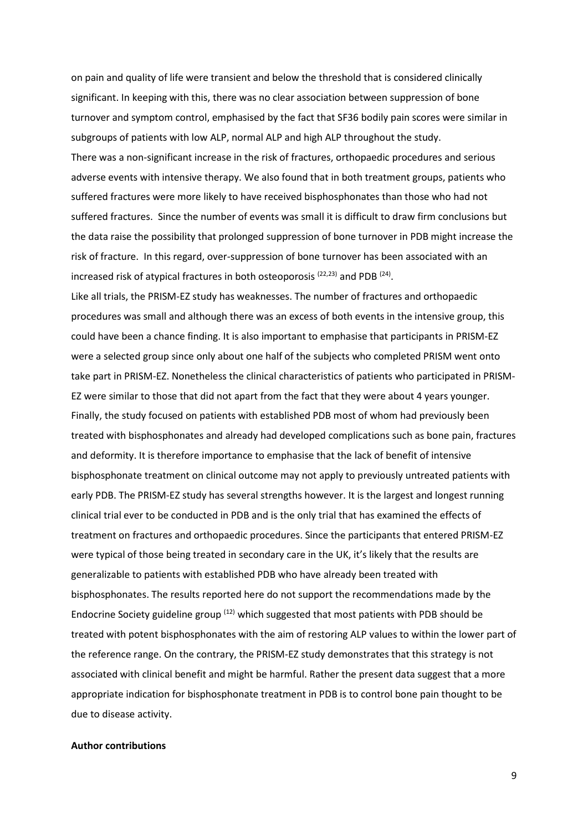on pain and quality of life were transient and below the threshold that is considered clinically significant. In keeping with this, there was no clear association between suppression of bone turnover and symptom control, emphasised by the fact that SF36 bodily pain scores were similar in subgroups of patients with low ALP, normal ALP and high ALP throughout the study. There was a non-significant increase in the risk of fractures, orthopaedic procedures and serious adverse events with intensive therapy. We also found that in both treatment groups, patients who suffered fractures were more likely to have received bisphosphonates than those who had not suffered fractures. Since the number of events was small it is difficult to draw firm conclusions but the data raise the possibility that prolonged suppression of bone turnover in PDB might increase the risk of fracture. In this regard, over-suppression of bone turnover has been associated with an increased risk of atypical fractures in both osteoporosis  $(22,23)$  and PDB  $(24)$ .

Like all trials, the PRISM-EZ study has weaknesses. The number of fractures and orthopaedic procedures was small and although there was an excess of both events in the intensive group, this could have been a chance finding. It is also important to emphasise that participants in PRISM-EZ were a selected group since only about one half of the subjects who completed PRISM went onto take part in PRISM-EZ. Nonetheless the clinical characteristics of patients who participated in PRISM-EZ were similar to those that did not apart from the fact that they were about 4 years younger. Finally, the study focused on patients with established PDB most of whom had previously been treated with bisphosphonates and already had developed complications such as bone pain, fractures and deformity. It is therefore importance to emphasise that the lack of benefit of intensive bisphosphonate treatment on clinical outcome may not apply to previously untreated patients with early PDB. The PRISM-EZ study has several strengths however. It is the largest and longest running clinical trial ever to be conducted in PDB and is the only trial that has examined the effects of treatment on fractures and orthopaedic procedures. Since the participants that entered PRISM-EZ were typical of those being treated in secondary care in the UK, it's likely that the results are generalizable to patients with established PDB who have already been treated with bisphosphonates. The results reported here do not support the recommendations made by the Endocrine Society guideline group  $(12)$  which suggested that most patients with PDB should be treated with potent bisphosphonates with the aim of restoring ALP values to within the lower part of the reference range. On the contrary, the PRISM-EZ study demonstrates that this strategy is not associated with clinical benefit and might be harmful. Rather the present data suggest that a more appropriate indication for bisphosphonate treatment in PDB is to control bone pain thought to be due to disease activity.

## **Author contributions**

9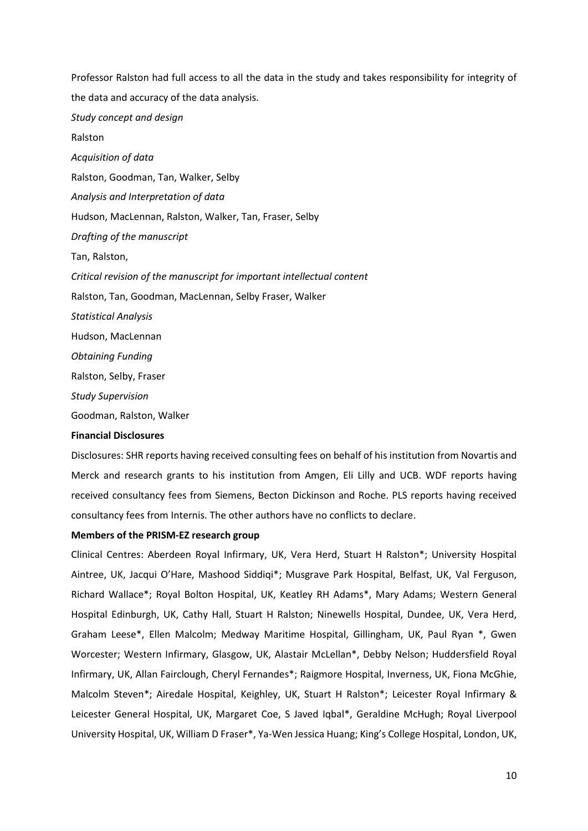Professor Ralston had full access to all the data in the study and takes responsibility for integrity of the data and accuracy of the data analysis. *Study concept and design* Ralston *Acquisition of data* Ralston, Goodman, Tan, Walker, Selby *Analysis and Interpretation of data* Hudson, MacLennan, Ralston, Walker, Tan, Fraser, Selby *Drafting of the manuscript* Tan, Ralston, *Critical revision of the manuscript for important intellectual content* Ralston, Tan, Goodman, MacLennan, Selby Fraser, Walker *Statistical Analysis* Hudson, MacLennan *Obtaining Funding* Ralston, Selby, Fraser *Study Supervision* Goodman, Ralston, Walker

## **Financial Disclosures**

Disclosures: SHR reports having received consulting fees on behalf of his institution from Novartis and Merck and research grants to his institution from Amgen, Eli Lilly and UCB. WDF reports having received consultancy fees from Siemens, Becton Dickinson and Roche. PLS reports having received consultancy fees from Internis. The other authors have no conflicts to declare.

## **Members of the PRISM-EZ research group**

Clinical Centres: Aberdeen Royal Infirmary, UK, Vera Herd, Stuart H Ralston\*; University Hospital Aintree, UK, Jacqui O'Hare, Mashood Siddiqi\*; Musgrave Park Hospital, Belfast, UK, Val Ferguson, Richard Wallace\*; Royal Bolton Hospital, UK, Keatley RH Adams\*, Mary Adams; Western General Hospital Edinburgh, UK, Cathy Hall, Stuart H Ralston; Ninewells Hospital, Dundee, UK, Vera Herd, Graham Leese\*, Ellen Malcolm; Medway Maritime Hospital, Gillingham, UK, Paul Ryan \*, Gwen Worcester; Western Infirmary, Glasgow, UK, Alastair McLellan\*, Debby Nelson; Huddersfield Royal Infirmary, UK, Allan Fairclough, Cheryl Fernandes\*; Raigmore Hospital, Inverness, UK, Fiona McGhie, Malcolm Steven\*; Airedale Hospital, Keighley, UK, Stuart H Ralston\*; Leicester Royal Infirmary & Leicester General Hospital, UK, Margaret Coe, S Javed Iqbal\*, Geraldine McHugh; Royal Liverpool University Hospital, UK, William D Fraser\*, Ya-Wen Jessica Huang; King's College Hospital, London, UK,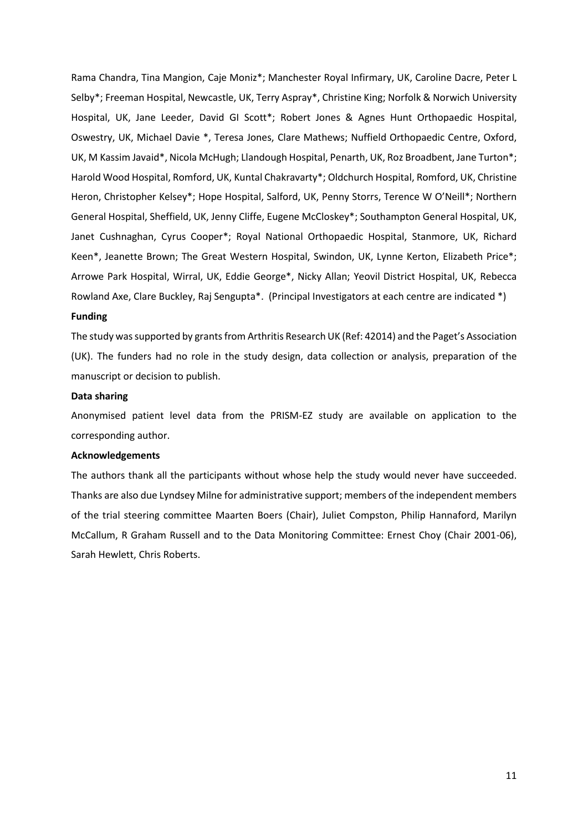Rama Chandra, Tina Mangion, Caje Moniz\*; Manchester Royal Infirmary, UK, Caroline Dacre, Peter L Selby\*; Freeman Hospital, Newcastle, UK, Terry Aspray\*, Christine King; Norfolk & Norwich University Hospital, UK, Jane Leeder, David GI Scott\*; Robert Jones & Agnes Hunt Orthopaedic Hospital, Oswestry, UK, Michael Davie \*, Teresa Jones, Clare Mathews; Nuffield Orthopaedic Centre, Oxford, UK, M Kassim Javaid\*, Nicola McHugh; Llandough Hospital, Penarth, UK, Roz Broadbent, Jane Turton\*; Harold Wood Hospital, Romford, UK, Kuntal Chakravarty\*; Oldchurch Hospital, Romford, UK, Christine Heron, Christopher Kelsey\*; Hope Hospital, Salford, UK, Penny Storrs, Terence W O'Neill\*; Northern General Hospital, Sheffield, UK, Jenny Cliffe, Eugene McCloskey\*; Southampton General Hospital, UK, Janet Cushnaghan, Cyrus Cooper\*; Royal National Orthopaedic Hospital, Stanmore, UK, Richard Keen\*, Jeanette Brown; The Great Western Hospital, Swindon, UK, Lynne Kerton, Elizabeth Price\*; Arrowe Park Hospital, Wirral, UK, Eddie George\*, Nicky Allan; Yeovil District Hospital, UK, Rebecca Rowland Axe, Clare Buckley, Raj Sengupta\*. (Principal Investigators at each centre are indicated \*)

#### **Funding**

The study was supported by grants from Arthritis Research UK (Ref: 42014) and the Paget's Association (UK). The funders had no role in the study design, data collection or analysis, preparation of the manuscript or decision to publish.

## **Data sharing**

Anonymised patient level data from the PRISM-EZ study are available on application to the corresponding author.

## **Acknowledgements**

The authors thank all the participants without whose help the study would never have succeeded. Thanks are also due Lyndsey Milne for administrative support; members of the independent members of the trial steering committee Maarten Boers (Chair), Juliet Compston, Philip Hannaford, Marilyn McCallum, R Graham Russell and to the Data Monitoring Committee: Ernest Choy (Chair 2001-06), Sarah Hewlett, Chris Roberts.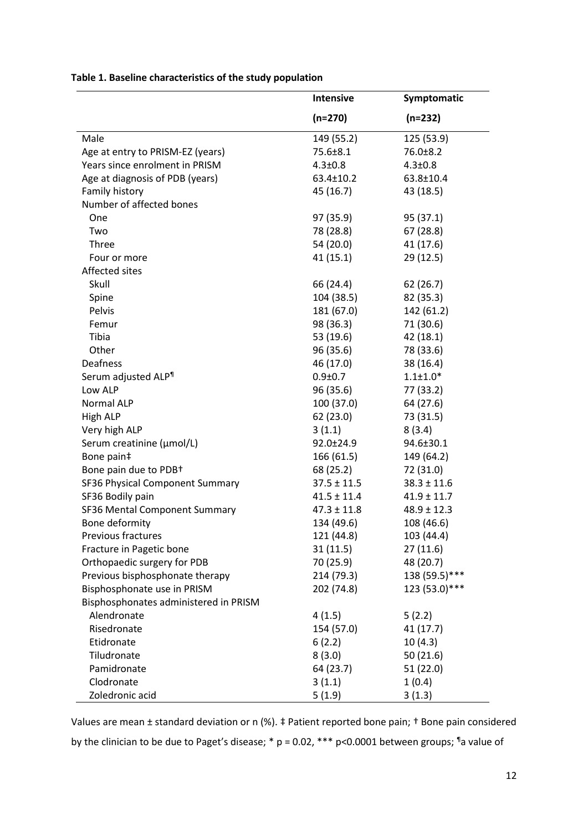|                                       | <b>Intensive</b> | Symptomatic     |
|---------------------------------------|------------------|-----------------|
|                                       | $(n=270)$        | $(n=232)$       |
| Male                                  | 149 (55.2)       | 125 (53.9)      |
| Age at entry to PRISM-EZ (years)      | 75.6±8.1         | 76.0±8.2        |
| Years since enrolment in PRISM        | $4.3 \pm 0.8$    | $4.3 \pm 0.8$   |
| Age at diagnosis of PDB (years)       | 63.4±10.2        | 63.8±10.4       |
| Family history                        | 45 (16.7)        | 43 (18.5)       |
| Number of affected bones              |                  |                 |
| One                                   | 97 (35.9)        | 95 (37.1)       |
| Two                                   | 78 (28.8)        | 67 (28.8)       |
| <b>Three</b>                          | 54 (20.0)        | 41 (17.6)       |
| Four or more                          | 41(15.1)         | 29 (12.5)       |
| Affected sites                        |                  |                 |
| Skull                                 | 66 (24.4)        | 62 (26.7)       |
| Spine                                 | 104 (38.5)       | 82 (35.3)       |
| Pelvis                                | 181 (67.0)       | 142 (61.2)      |
| Femur                                 | 98 (36.3)        | 71 (30.6)       |
| Tibia                                 | 53 (19.6)        | 42 (18.1)       |
| Other                                 | 96 (35.6)        | 78 (33.6)       |
| Deafness                              | 46 (17.0)        | 38 (16.4)       |
| Serum adjusted ALP <sup>1</sup>       | $0.9 + 0.7$      | $1.1 \pm 1.0*$  |
| Low ALP                               | 96 (35.6)        | 77 (33.2)       |
| Normal ALP                            | 100 (37.0)       | 64 (27.6)       |
| High ALP                              | 62 (23.0)        | 73 (31.5)       |
| Very high ALP                         | 3(1.1)           | 8(3.4)          |
| Serum creatinine (µmol/L)             | 92.0±24.9        | 94.6±30.1       |
| Bone pain‡                            | 166 (61.5)       | 149 (64.2)      |
| Bone pain due to PDB+                 | 68 (25.2)        | 72 (31.0)       |
| SF36 Physical Component Summary       | $37.5 \pm 11.5$  | $38.3 \pm 11.6$ |
| SF36 Bodily pain                      | $41.5 \pm 11.4$  | $41.9 \pm 11.7$ |
| SF36 Mental Component Summary         | $47.3 \pm 11.8$  | $48.9 \pm 12.3$ |
| Bone deformity                        | 134 (49.6)       | 108 (46.6)      |
| Previous fractures                    | 121 (44.8)       | 103 (44.4)      |
| Fracture in Pagetic bone              | 31(11.5)         | 27(11.6)        |
| Orthopaedic surgery for PDB           | 70 (25.9)        | 48 (20.7)       |
| Previous bisphosphonate therapy       | 214 (79.3)       | 138 (59.5)***   |
| Bisphosphonate use in PRISM           | 202 (74.8)       | 123 (53.0)***   |
| Bisphosphonates administered in PRISM |                  |                 |
| Alendronate                           | 4(1.5)           | 5(2.2)          |
| Risedronate                           | 154 (57.0)       | 41 (17.7)       |
| Etidronate                            | 6(2.2)           | 10(4.3)         |
| Tiludronate                           | 8(3.0)           | 50(21.6)        |
| Pamidronate                           | 64 (23.7)        | 51(22.0)        |
| Clodronate                            | 3(1.1)           | 1(0.4)          |
| Zoledronic acid                       | 5(1.9)           | 3(1.3)          |

**Table 1. Baseline characteristics of the study population** 

Values are mean ± standard deviation or n (%). ‡ Patient reported bone pain; † Bone pain considered by the clinician to be due to Paget's disease; \*  $p = 0.02$ , \*\*\*  $p < 0.0001$  between groups;  $\mathbb{I}^a$  value of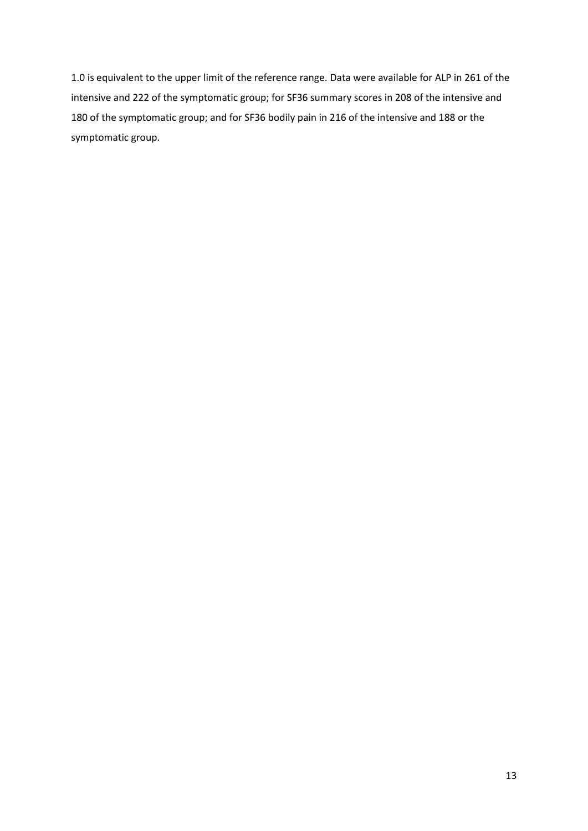1.0 is equivalent to the upper limit of the reference range. Data were available for ALP in 261 of the intensive and 222 of the symptomatic group; for SF36 summary scores in 208 of the intensive and 180 of the symptomatic group; and for SF36 bodily pain in 216 of the intensive and 188 or the symptomatic group.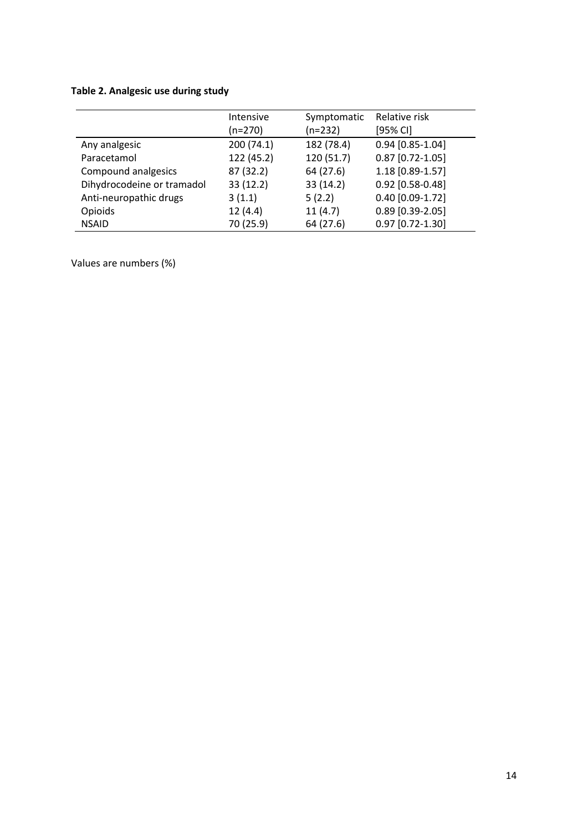# **Table 2. Analgesic use during study**

|                            | Intensive<br>$(n=270)$ | Symptomatic<br>$(n=232)$ | Relative risk<br>[95% CI] |
|----------------------------|------------------------|--------------------------|---------------------------|
| Any analgesic              | 200 (74.1)             | 182 (78.4)               | $0.94$ [0.85-1.04]        |
| Paracetamol                | 122 (45.2)             | 120 (51.7)               | $0.87$ [0.72-1.05]        |
| Compound analgesics        | 87 (32.2)              | 64 (27.6)                | 1.18 [0.89-1.57]          |
| Dihydrocodeine or tramadol | 33 (12.2)              | 33 (14.2)                | 0.92 [0.58-0.48]          |
| Anti-neuropathic drugs     | 3(1.1)                 | 5(2.2)                   | $0.40$ [0.09-1.72]        |
| Opioids                    | 12(4.4)                | 11(4.7)                  | $0.89$ [0.39-2.05]        |
| <b>NSAID</b>               | 70 (25.9)              | 64 (27.6)                | $0.97$ [0.72-1.30]        |

Values are numbers (%)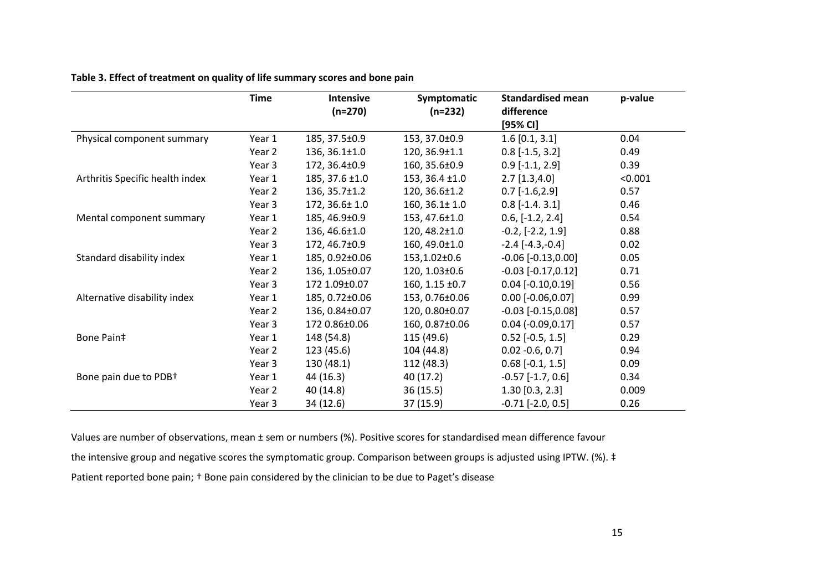|                                 | <b>Time</b> | <b>Intensive</b>    | Symptomatic         | <b>Standardised mean</b> | p-value |
|---------------------------------|-------------|---------------------|---------------------|--------------------------|---------|
|                                 |             | $(n=270)$           | $(n=232)$           | difference<br>[95% CI]   |         |
| Physical component summary      | Year 1      | 185, 37.5±0.9       | 153, 37.0±0.9       | $1.6$ [0.1, 3.1]         | 0.04    |
|                                 | Year 2      | $136, 36.1 \pm 1.0$ | 120, 36.9±1.1       | $0.8$ [-1.5, 3.2]        | 0.49    |
|                                 | Year 3      | 172, 36.4±0.9       | 160, 35.6±0.9       | $0.9$ [-1.1, 2.9]        | 0.39    |
| Arthritis Specific health index | Year 1      | $185, 37.6 \pm 1.0$ | $153, 36.4 \pm 1.0$ | $2.7$ [1.3,4.0]          | < 0.001 |
|                                 | Year 2      | 136, 35.7±1.2       | 120, 36.6±1.2       | $0.7$ [-1.6,2.9]         | 0.57    |
|                                 | Year 3      | $172, 36.6 \pm 1.0$ | $160, 36.1 \pm 1.0$ | $0.8$ [-1.4. 3.1]        | 0.46    |
| Mental component summary        | Year 1      | 185, 46.9±0.9       | 153, 47.6±1.0       | $0.6, [-1.2, 2.4]$       | 0.54    |
|                                 | Year 2      | 136, 46.6±1.0       | $120, 48.2 \pm 1.0$ | $-0.2, [-2.2, 1.9]$      | 0.88    |
|                                 | Year 3      | 172, 46.7±0.9       | 160, 49.0±1.0       | $-2.4$ [ $-4.3, -0.4$ ]  | 0.02    |
| Standard disability index       | Year 1      | 185, 0.92±0.06      | 153,1.02±0.6        | $-0.06$ $[-0.13, 0.00]$  | 0.05    |
|                                 | Year 2      | 136, 1.05±0.07      | 120, 1.03±0.6       | $-0.03$ $[-0.17, 0.12]$  | 0.71    |
|                                 | Year 3      | 172 1.09±0.07       | 160, 1.15 $\pm$ 0.7 | $0.04$ [-0.10,0.19]      | 0.56    |
| Alternative disability index    | Year 1      | 185, 0.72±0.06      | 153, 0.76±0.06      | $0.00$ [-0.06,0.07]      | 0.99    |
|                                 | Year 2      | 136, 0.84±0.07      | 120, 0.80±0.07      | $-0.03$ $[-0.15, 0.08]$  | 0.57    |
|                                 | Year 3      | 172 0.86±0.06       | 160, 0.87±0.06      | $0.04$ (-0.09,0.17]      | 0.57    |
| Bone Pain‡                      | Year 1      | 148 (54.8)          | 115 (49.6)          | $0.52$ [-0.5, 1.5]       | 0.29    |
|                                 | Year 2      | 123 (45.6)          | 104 (44.8)          | $0.02 -0.6, 0.7$ ]       | 0.94    |
|                                 | Year 3      | 130(48.1)           | 112 (48.3)          | $0.68$ [-0.1, 1.5]       | 0.09    |
| Bone pain due to PDB+           | Year 1      | 44 (16.3)           | 40 (17.2)           | $-0.57$ $[-1.7, 0.6]$    | 0.34    |
|                                 | Year 2      | 40 (14.8)           | 36(15.5)            | $1.30$ [0.3, 2.3]        | 0.009   |
|                                 | Year 3      | 34 (12.6)           | 37 (15.9)           | $-0.71$ $[-2.0, 0.5]$    | 0.26    |

**Table 3. Effect of treatment on quality of life summary scores and bone pain**

Values are number of observations, mean ± sem or numbers (%). Positive scores for standardised mean difference favour the intensive group and negative scores the symptomatic group. Comparison between groups is adjusted using IPTW. (%). ‡ Patient reported bone pain; † Bone pain considered by the clinician to be due to Paget's disease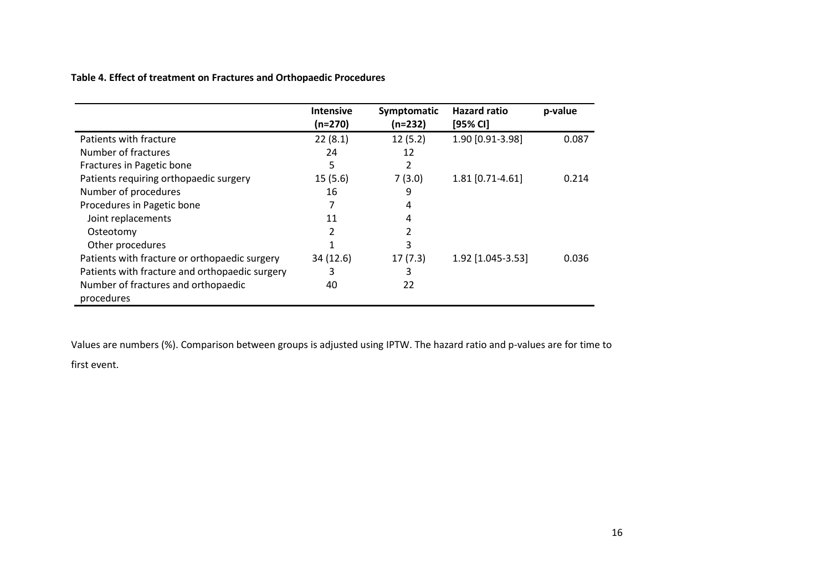**Table 4. Effect of treatment on Fractures and Orthopaedic Procedures**

|                                                | <b>Intensive</b><br>(n=270) | Symptomatic<br>(n=232) | <b>Hazard ratio</b><br>$[95%$ CI] | p-value |
|------------------------------------------------|-----------------------------|------------------------|-----------------------------------|---------|
| Patients with fracture                         | 22(8.1)                     | 12(5.2)                | 1.90 [0.91-3.98]                  | 0.087   |
| Number of fractures                            | 24                          | 12                     |                                   |         |
| Fractures in Pagetic bone                      | 5                           | 2                      |                                   |         |
| Patients requiring orthopaedic surgery         | 15(5.6)                     | 7(3.0)                 | 1.81 [0.71-4.61]                  | 0.214   |
| Number of procedures                           | 16                          | 9                      |                                   |         |
| Procedures in Pagetic bone                     |                             | 4                      |                                   |         |
| Joint replacements                             | 11                          | 4                      |                                   |         |
| Osteotomy                                      | 2                           |                        |                                   |         |
| Other procedures                               |                             | 3                      |                                   |         |
| Patients with fracture or orthopaedic surgery  | 34 (12.6)                   | 17(7.3)                | 1.92 [1.045-3.53]                 | 0.036   |
| Patients with fracture and orthopaedic surgery | 3                           | 3                      |                                   |         |
| Number of fractures and orthopaedic            | 40                          | 22                     |                                   |         |
| procedures                                     |                             |                        |                                   |         |

Values are numbers (%). Comparison between groups is adjusted using IPTW. The hazard ratio and p-values are for time to

first event.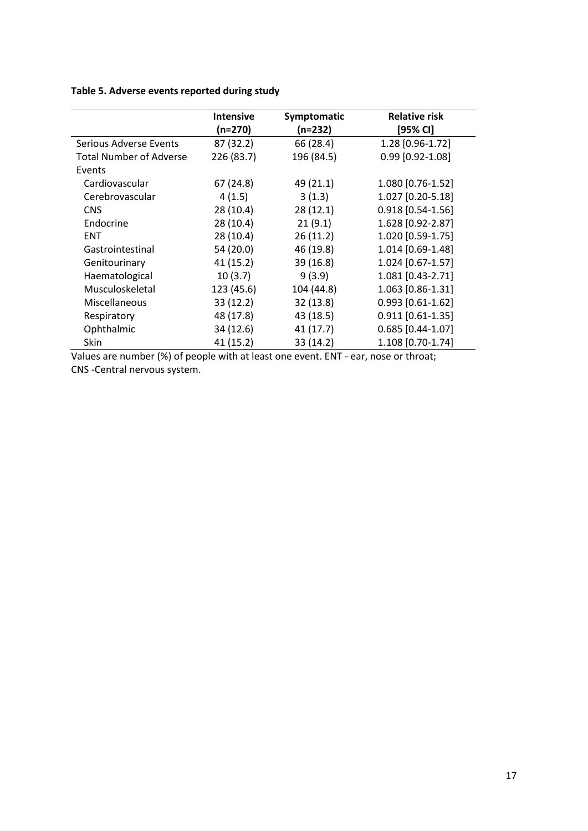# **Table 5. Adverse events reported during study**

|                                | <b>Intensive</b><br>$(n=270)$ | Symptomatic<br>$(n=232)$ | <b>Relative risk</b><br>[95% CI] |
|--------------------------------|-------------------------------|--------------------------|----------------------------------|
| Serious Adverse Events         | 87 (32.2)                     | 66 (28.4)                | 1.28 [0.96-1.72]                 |
| <b>Total Number of Adverse</b> | 226 (83.7)                    | 196 (84.5)               | $0.99$ [0.92-1.08]               |
| Events                         |                               |                          |                                  |
| Cardiovascular                 | 67(24.8)                      | 49 (21.1)                | 1.080 [0.76-1.52]                |
| Cerebrovascular                | 4(1.5)                        | 3(1.3)                   | 1.027 [0.20-5.18]                |
| <b>CNS</b>                     | 28(10.4)                      | 28(12.1)                 | $0.918$ [0.54-1.56]              |
| Endocrine                      | 28(10.4)                      | 21(9.1)                  | 1.628 [0.92-2.87]                |
| <b>ENT</b>                     | 28(10.4)                      | 26(11.2)                 | 1.020 [0.59-1.75]                |
| Gastrointestinal               | 54 (20.0)                     | 46 (19.8)                | 1.014 [0.69-1.48]                |
| Genitourinary                  | 41(15.2)                      | 39 (16.8)                | 1.024 [0.67-1.57]                |
| Haematological                 | 10(3.7)                       | 9(3.9)                   | 1.081 [0.43-2.71]                |
| Musculoskeletal                | 123 (45.6)                    | 104 (44.8)               | 1.063 [0.86-1.31]                |
| Miscellaneous                  | 33(12.2)                      | 32(13.8)                 | $0.993$ [0.61-1.62]              |
| Respiratory                    | 48 (17.8)                     | 43 (18.5)                | $0.911$ [0.61-1.35]              |
| Ophthalmic                     | 34 (12.6)                     | 41(17.7)                 | $0.685$ [0.44-1.07]              |
| <b>Skin</b>                    | 41 (15.2)                     | 33 (14.2)                | 1.108 [0.70-1.74]                |

Values are number (%) of people with at least one event. ENT - ear, nose or throat; CNS -Central nervous system.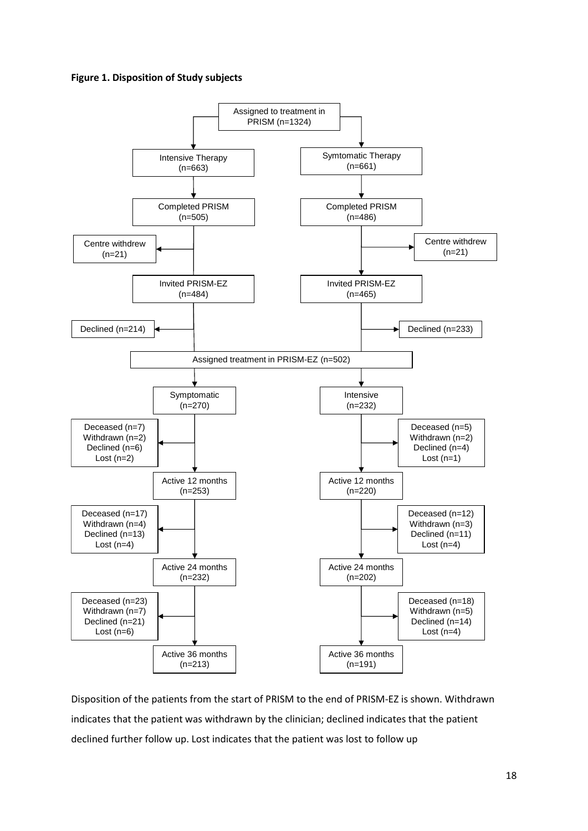## **Figure 1. Disposition of Study subjects**



Disposition of the patients from the start of PRISM to the end of PRISM-EZ is shown. Withdrawn indicates that the patient was withdrawn by the clinician; declined indicates that the patient declined further follow up. Lost indicates that the patient was lost to follow up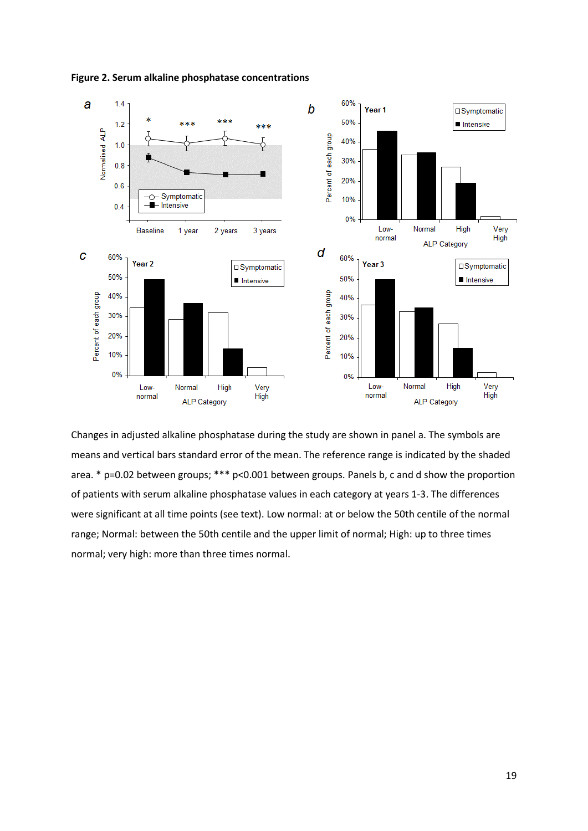

**Figure 2. Serum alkaline phosphatase concentrations**

Changes in adjusted alkaline phosphatase during the study are shown in panel a. The symbols are means and vertical bars standard error of the mean. The reference range is indicated by the shaded area. \* p=0.02 between groups; \*\*\* p<0.001 between groups. Panels b, c and d show the proportion of patients with serum alkaline phosphatase values in each category at years 1-3. The differences were significant at all time points (see text). Low normal: at or below the 50th centile of the normal range; Normal: between the 50th centile and the upper limit of normal; High: up to three times normal; very high: more than three times normal.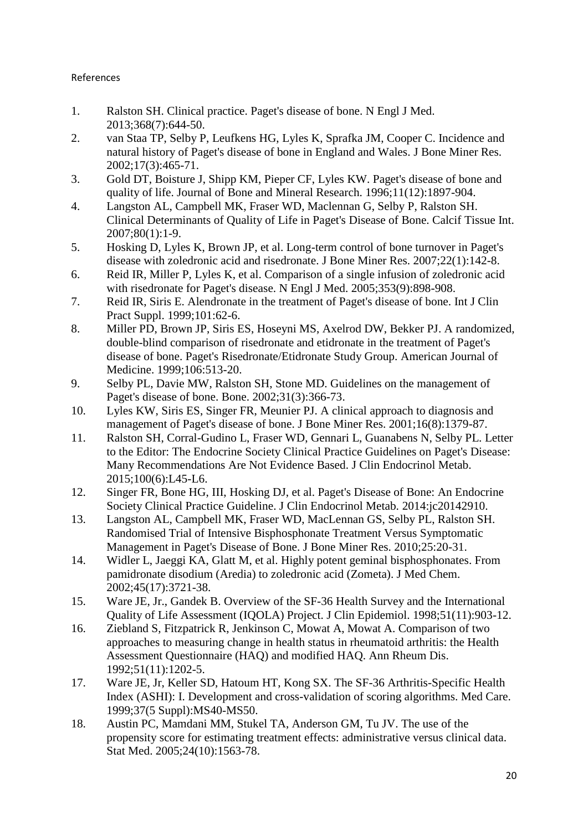## References

- 1. Ralston SH. Clinical practice. Paget's disease of bone. N Engl J Med. 2013;368(7):644-50.
- 2. van Staa TP, Selby P, Leufkens HG, Lyles K, Sprafka JM, Cooper C. Incidence and natural history of Paget's disease of bone in England and Wales. J Bone Miner Res. 2002;17(3):465-71.
- 3. Gold DT, Boisture J, Shipp KM, Pieper CF, Lyles KW. Paget's disease of bone and quality of life. Journal of Bone and Mineral Research. 1996;11(12):1897-904.
- 4. Langston AL, Campbell MK, Fraser WD, Maclennan G, Selby P, Ralston SH. Clinical Determinants of Quality of Life in Paget's Disease of Bone. Calcif Tissue Int. 2007;80(1):1-9.
- 5. Hosking D, Lyles K, Brown JP, et al. Long-term control of bone turnover in Paget's disease with zoledronic acid and risedronate. J Bone Miner Res. 2007;22(1):142-8.
- 6. Reid IR, Miller P, Lyles K, et al. Comparison of a single infusion of zoledronic acid with risedronate for Paget's disease. N Engl J Med. 2005;353(9):898-908.
- 7. Reid IR, Siris E. Alendronate in the treatment of Paget's disease of bone. Int J Clin Pract Suppl. 1999;101:62-6.
- 8. Miller PD, Brown JP, Siris ES, Hoseyni MS, Axelrod DW, Bekker PJ. A randomized, double-blind comparison of risedronate and etidronate in the treatment of Paget's disease of bone. Paget's Risedronate/Etidronate Study Group. American Journal of Medicine. 1999;106:513-20.
- 9. Selby PL, Davie MW, Ralston SH, Stone MD. Guidelines on the management of Paget's disease of bone. Bone. 2002;31(3):366-73.
- 10. Lyles KW, Siris ES, Singer FR, Meunier PJ. A clinical approach to diagnosis and management of Paget's disease of bone. J Bone Miner Res. 2001;16(8):1379-87.
- 11. Ralston SH, Corral-Gudino L, Fraser WD, Gennari L, Guanabens N, Selby PL. Letter to the Editor: The Endocrine Society Clinical Practice Guidelines on Paget's Disease: Many Recommendations Are Not Evidence Based. J Clin Endocrinol Metab. 2015;100(6):L45-L6.
- 12. Singer FR, Bone HG, III, Hosking DJ, et al. Paget's Disease of Bone: An Endocrine Society Clinical Practice Guideline. J Clin Endocrinol Metab. 2014:jc20142910.
- 13. Langston AL, Campbell MK, Fraser WD, MacLennan GS, Selby PL, Ralston SH. Randomised Trial of Intensive Bisphosphonate Treatment Versus Symptomatic Management in Paget's Disease of Bone. J Bone Miner Res. 2010;25:20-31.
- 14. Widler L, Jaeggi KA, Glatt M, et al. Highly potent geminal bisphosphonates. From pamidronate disodium (Aredia) to zoledronic acid (Zometa). J Med Chem. 2002;45(17):3721-38.
- 15. Ware JE, Jr., Gandek B. Overview of the SF-36 Health Survey and the International Quality of Life Assessment (IQOLA) Project. J Clin Epidemiol. 1998;51(11):903-12.
- 16. Ziebland S, Fitzpatrick R, Jenkinson C, Mowat A, Mowat A. Comparison of two approaches to measuring change in health status in rheumatoid arthritis: the Health Assessment Questionnaire (HAQ) and modified HAQ. Ann Rheum Dis. 1992;51(11):1202-5.
- 17. Ware JE, Jr, Keller SD, Hatoum HT, Kong SX. The SF-36 Arthritis-Specific Health Index (ASHI): I. Development and cross-validation of scoring algorithms. Med Care. 1999;37(5 Suppl):MS40-MS50.
- 18. Austin PC, Mamdani MM, Stukel TA, Anderson GM, Tu JV. The use of the propensity score for estimating treatment effects: administrative versus clinical data. Stat Med. 2005;24(10):1563-78.